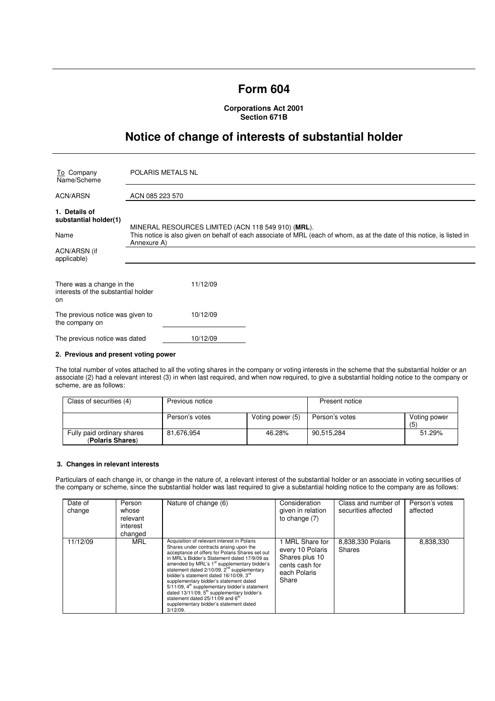# **Form 604**

**Corporations Act 2001 Section 671B** 

# **Notice of change of interests of substantial holder**

| To Company<br>Name/Scheme                                              | POLARIS METALS NL                                                                                                                                                             |  |  |
|------------------------------------------------------------------------|-------------------------------------------------------------------------------------------------------------------------------------------------------------------------------|--|--|
| ACN/ARSN                                                               | ACN 085 223 570                                                                                                                                                               |  |  |
| 1. Details of<br>substantial holder(1)<br>Name                         | MINERAL RESOURCES LIMITED (ACN 118 549 910) (MRL).<br>This notice is also given on behalf of each associate of MRL (each of whom, as at the date of this notice, is listed in |  |  |
| ACN/ARSN (if<br>applicable)                                            | Annexure A)                                                                                                                                                                   |  |  |
| There was a change in the<br>interests of the substantial holder<br>on | 11/12/09                                                                                                                                                                      |  |  |
| The previous notice was given to<br>the company on                     | 10/12/09                                                                                                                                                                      |  |  |
| The previous notice was dated                                          | 10/12/09                                                                                                                                                                      |  |  |

### **2. Previous and present voting power**

The total number of votes attached to all the voting shares in the company or voting interests in the scheme that the substantial holder or an associate (2) had a relevant interest (3) in when last required, and when now required, to give a substantial holding notice to the company or scheme, are as follows:

| Class of securities (4)                        | Previous notice |                  | Present notice |                     |
|------------------------------------------------|-----------------|------------------|----------------|---------------------|
|                                                | Person's votes  | Voting power (5) | Person's votes | Voting power<br>(5) |
| Fully paid ordinary shares<br>(Polaris Shares) | 81.676.954      | 46.28%           | 90.515.284     | 51.29%              |

#### **3. Changes in relevant interests**

Particulars of each change in, or change in the nature of, a relevant interest of the substantial holder or an associate in voting securities of the company or scheme, since the substantial holder was last required to give a substantial holding notice to the company are as follows:

| Date of<br>change | Person<br>whose<br>relevant<br>interest<br>changed | Nature of change (6)                                                                                                                                                                                                                                                                                                                                                                                                                                                                                                                                                                                                        | Consideration<br>given in relation<br>to change $(7)$                                            | Class and number of<br>securities affected | Person's votes<br>affected |
|-------------------|----------------------------------------------------|-----------------------------------------------------------------------------------------------------------------------------------------------------------------------------------------------------------------------------------------------------------------------------------------------------------------------------------------------------------------------------------------------------------------------------------------------------------------------------------------------------------------------------------------------------------------------------------------------------------------------------|--------------------------------------------------------------------------------------------------|--------------------------------------------|----------------------------|
| 11/12/09          | MRL                                                | Acquisition of relevant interest in Polaris<br>Shares under contracts arising upon the<br>acceptance of offers for Polaris Shares set out<br>in MRL's Bidder's Statement dated 17/9/09 as<br>amended by MRL's 1 <sup>st</sup> supplementary bidder's<br>statement dated 2/10/09, 2 <sup>nd</sup> supplementary<br>bidder's statement dated 16/10/09. 3rd<br>supplementary bidder's statement dated<br>5/11/09, 4 <sup>th</sup> supplementary bidder's statement<br>dated $13/11/09$ , $5th$ supplementary bidder's<br>statement dated 25/11/09 and 6 <sup>th</sup><br>supplementary bidder's statement dated<br>$3/12/09$ . | 1 MRL Share for<br>every 10 Polaris<br>Shares plus 10<br>cents cash for<br>each Polaris<br>Share | 8,838,330 Polaris<br><b>Shares</b>         | 8,838,330                  |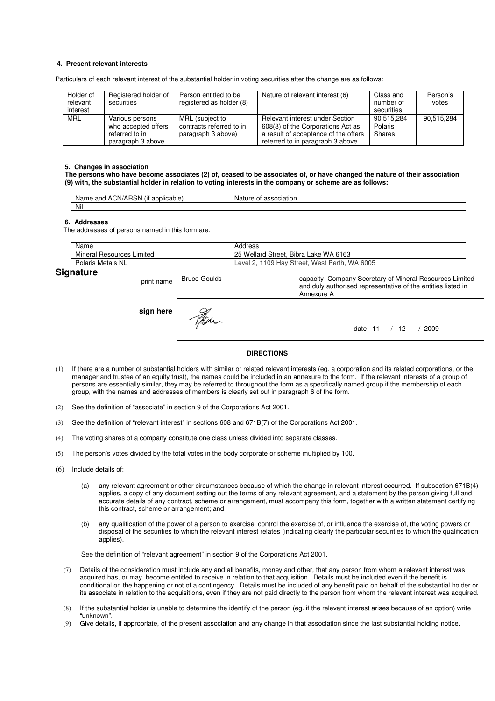## **4. Present relevant interests**

Particulars of each relevant interest of the substantial holder in voting securities after the change are as follows:

| Holder of<br>relevant<br>interest | Registered holder of<br>securities                                             | Person entitled to be<br>registered as holder (8)                 | Nature of relevant interest (6)                                                                                                                   | Class and<br>number of<br>securities | Person's<br>votes |
|-----------------------------------|--------------------------------------------------------------------------------|-------------------------------------------------------------------|---------------------------------------------------------------------------------------------------------------------------------------------------|--------------------------------------|-------------------|
| MRL                               | Various persons<br>who accepted offers<br>referred to in<br>paragraph 3 above. | MRL (subject to<br>contracts referred to in<br>paragraph 3 above) | Relevant interest under Section<br>608(8) of the Corporations Act as<br>a result of acceptance of the offers<br>referred to in paragraph 3 above. | 90.515.284<br>Polaris<br>Shares      | 90.515.284        |

#### **5. Changes in association**

**The persons who have become associates (2) of, ceased to be associates of, or have changed the nature of their association (9) with, the substantial holder in relation to voting interests in the company or scheme are as follows:** 

| $\cdots$<br>ימ<br>ACN/AH<br>and<br>licable:<br>Name<br>ווסו<br>$-1111$<br>. . | ciation<br>Nai.<br>nt |
|-------------------------------------------------------------------------------|-----------------------|
| Nil                                                                           |                       |

#### **6. Addresses**

The addresses of persons named in this form are:

|    | Name                            | Address                                          |
|----|---------------------------------|--------------------------------------------------|
|    | Mineral<br>Resources<br>Limited | . Bibra Lake WA 6163<br>25 Wellard Street.       |
|    | Polaris Metals NL               | WA 6005<br>1109 Hay Street, West Perth,<br>Level |
| ~- |                                 |                                                  |

# **Signature**

print name Bruce Goulds capacity Company Secretary of Mineral Resources Limited and duly authorised representative of the entities listed in Annexure A **sign here** Fer. date 11 / 12 / 2009

### **DIRECTIONS**

- (1) If there are a number of substantial holders with similar or related relevant interests (eg. a corporation and its related corporations, or the manager and trustee of an equity trust), the names could be included in an annexure to the form. If the relevant interests of a group of persons are essentially similar, they may be referred to throughout the form as a specifically named group if the membership of each group, with the names and addresses of members is clearly set out in paragraph 6 of the form.
- (2) See the definition of "associate" in section 9 of the Corporations Act 2001.
- (3) See the definition of "relevant interest" in sections 608 and 671B(7) of the Corporations Act 2001.
- (4) The voting shares of a company constitute one class unless divided into separate classes.
- (5) The person's votes divided by the total votes in the body corporate or scheme multiplied by 100.
- (6) Include details of:
	- (a) any relevant agreement or other circumstances because of which the change in relevant interest occurred. If subsection 671B(4) applies, a copy of any document setting out the terms of any relevant agreement, and a statement by the person giving full and accurate details of any contract, scheme or arrangement, must accompany this form, together with a written statement certifying this contract, scheme or arrangement; and
	- (b) any qualification of the power of a person to exercise, control the exercise of, or influence the exercise of, the voting powers or disposal of the securities to which the relevant interest relates (indicating clearly the particular securities to which the qualification applies).

See the definition of "relevant agreement" in section 9 of the Corporations Act 2001.

- (7) Details of the consideration must include any and all benefits, money and other, that any person from whom a relevant interest was acquired has, or may, become entitled to receive in relation to that acquisition. Details must be included even if the benefit is conditional on the happening or not of a contingency. Details must be included of any benefit paid on behalf of the substantial holder or its associate in relation to the acquisitions, even if they are not paid directly to the person from whom the relevant interest was acquired.
- (8) If the substantial holder is unable to determine the identify of the person (eg. if the relevant interest arises because of an option) write "unknown".
- (9) Give details, if appropriate, of the present association and any change in that association since the last substantial holding notice.